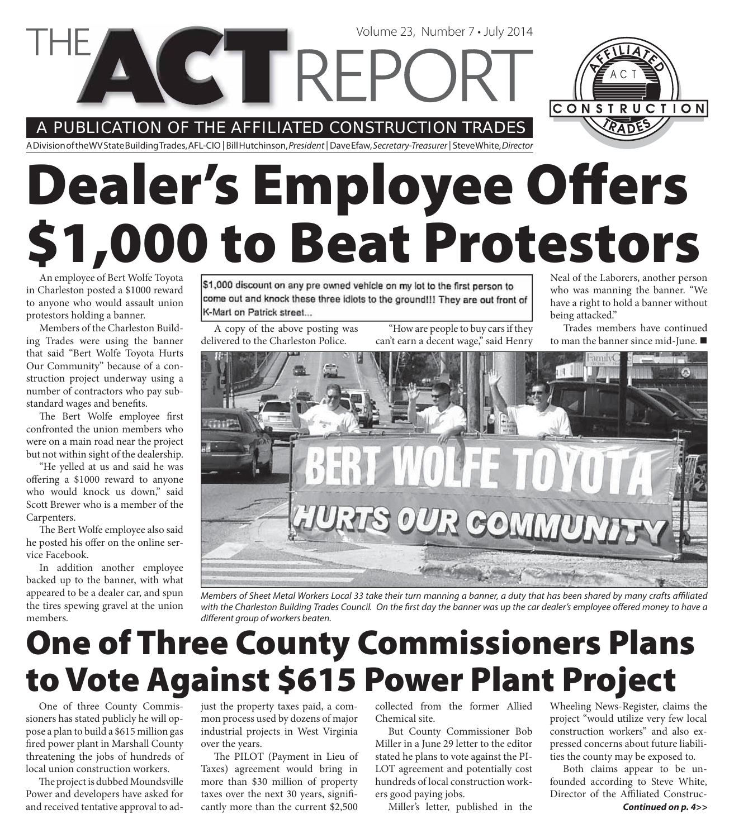#### A PUBLICATION OF THE AFFILIATED CONSTRUCTION TRADES

**CTTRE** 

A Division of the WV State Building Trades, AFL-CIO | Bill Hutchinson, President | Dave Efaw, Secretary-Treasurer | Steve White, Director

# **Dealer's Employee Offers \$1,000 to Beat Protestors**

An employee of Bert Wolfe Toyota in Charleston posted a \$1000 reward to anyone who would assault union protestors holding a banner.

Members of the Charleston Building Trades were using the banner that said "Bert Wolfe Toyota Hurts Our Community" because of a construction project underway using a number of contractors who pay substandard wages and benefits.

The Bert Wolfe employee first confronted the union members who were on a main road near the project but not within sight of the dealership.

"He yelled at us and said he was offering a \$1000 reward to anyone who would knock us down," said Scott Brewer who is a member of the Carpenters.

The Bert Wolfe employee also said he posted his offer on the online service Facebook.

In addition another employee backed up to the banner, with what appeared to be a dealer car, and spun the tires spewing gravel at the union members.

\$1,000 discount on any pre owned vehicle on my lot to the first person to come out and knock these three idiots to the ground!!! They are out front of K-Mart on Patrick street...

A copy of the above posting was delivered to the Charleston Police.

"How are people to buy cars if they can't earn a decent wage," said Henry

Volume 23, Number 7 • July 2014

Neal of the Laborers, another person who was manning the banner. "We have a right to hold a banner without being attacked."

CONSTRUCTION

Trades members have continued to man the banner since mid-June.



Members of Sheet Metal Workers Local 33 take their turn manning a banner, a duty that has been shared by many crafts affiliated with the Charleston Building Trades Council. On the first day the banner was up the car dealer's employee offered money to have a different group of workers beaten.

### **One of Three County Commissioners Plans to Vote Against \$615 Power Plant Project**

One of three County Commissioners has stated publicly he will oppose a plan to build a \$615 million gas fired power plant in Marshall County threatening the jobs of hundreds of local union construction workers.

The project is dubbed Moundsville Power and developers have asked for and received tentative approval to adjust the property taxes paid, a common process used by dozens of major industrial projects in West Virginia over the years.

The PILOT (Payment in Lieu of Taxes) agreement would bring in more than \$30 million of property taxes over the next 30 years, significantly more than the current \$2,500

collected from the former Allied Chemical site.

But County Commissioner Bob Miller in a June 29 letter to the editor stated he plans to vote against the PI-LOT agreement and potentially cost hundreds of local construction workers good paying jobs.

Miller's letter, published in the

Wheeling News-Register, claims the project "would utilize very few local construction workers" and also expressed concerns about future liabilities the county may be exposed to.

*Continued on p. 4>>* Both claims appear to be unfounded according to Steve White, Director of the Affiliated Construc-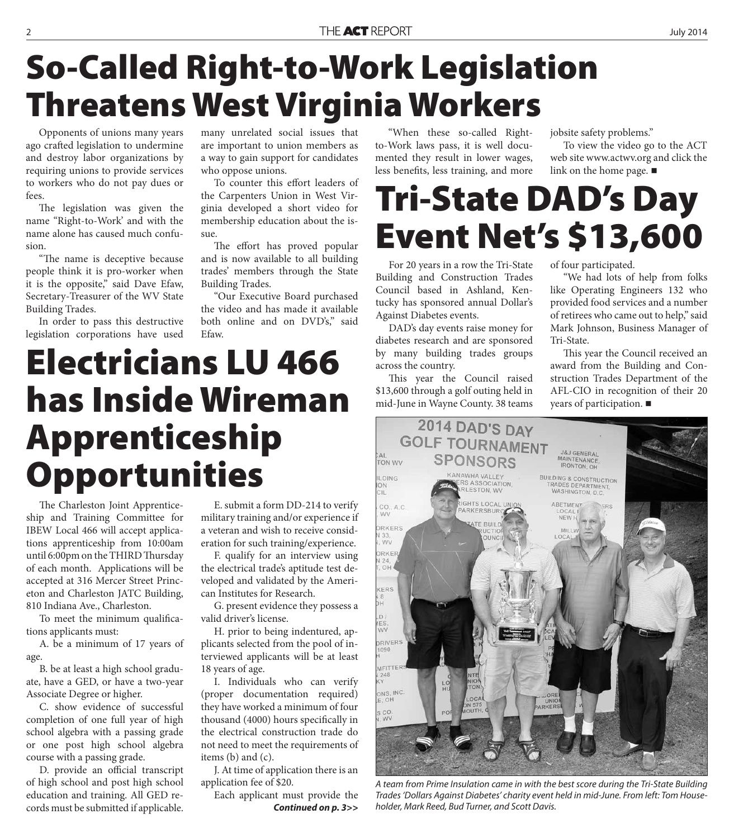# **So-Called Right-to-Work Legislation Threatens West Virginia Workers**

Opponents of unions many years ago crafted legislation to undermine and destroy labor organizations by requiring unions to provide services to workers who do not pay dues or fees.

The legislation was given the name "Right-to-Work' and with the name alone has caused much confusion.

"The name is deceptive because people think it is pro-worker when it is the opposite," said Dave Efaw, Secretary-Treasurer of the WV State Building Trades.

In order to pass this destructive legislation corporations have used

many unrelated social issues that are important to union members as a way to gain support for candidates who oppose unions.

To counter this effort leaders of the Carpenters Union in West Virginia developed a short video for membership education about the issue.

The effort has proved popular and is now available to all building trades' members through the State Building Trades.

"Our Executive Board purchased the video and has made it available both online and on DVD's," said Efaw.

# **Electricians LU 466 has Inside Wireman Apprenticeship Opportunities**

The Charleston Joint Apprenticeship and Training Committee for IBEW Local 466 will accept applications apprenticeship from 10:00am until 6:00pm on the THIRD Thursday of each month. Applications will be accepted at 316 Mercer Street Princeton and Charleston JATC Building, 810 Indiana Ave., Charleston.

To meet the minimum qualifications applicants must:

A. be a minimum of 17 years of age.

B. be at least a high school graduate, have a GED, or have a two-year Associate Degree or higher.

C. show evidence of successful completion of one full year of high school algebra with a passing grade or one post high school algebra course with a passing grade.

D. provide an official transcript of high school and post high school education and training. All GED records must be submitted if applicable.

E. submit a form DD-214 to verify military training and/or experience if a veteran and wish to receive consideration for such training/experience.

F. qualify for an interview using the electrical trade's aptitude test developed and validated by the American Institutes for Research.

G. present evidence they possess a valid driver's license.

H. prior to being indentured, applicants selected from the pool of interviewed applicants will be at least 18 years of age.

I. Individuals who can verify (proper documentation required) they have worked a minimum of four thousand (4000) hours specifically in the electrical construction trade do not need to meet the requirements of items (b) and (c).

J. At time of application there is an application fee of \$20.

Each applicant must provide the *Continued on p. 3>>*

"When these so-called Rightto-Work laws pass, it is well documented they result in lower wages, less benefits, less training, and more jobsite safety problems."

To view the video go to the ACT web site www.actwv.org and click the link on the home page.  $\blacksquare$ 

### **Tri-State DAD's Day Event Net's \$13,600**

For 20 years in a row the Tri-State Building and Construction Trades Council based in Ashland, Kentucky has sponsored annual Dollar's Against Diabetes events.

DAD's day events raise money for diabetes research and are sponsored by many building trades groups across the country.

This year the Council raised \$13,600 through a golf outing held in mid-June in Wayne County. 38 teams

> 2014 DAD'S DAY **GOLF TOURNAMENT**

of four participated.

"We had lots of help from folks like Operating Engineers 132 who provided food services and a number of retirees who came out to help," said Mark Johnson, Business Manager of Tri-State.

This year the Council received an award from the Building and Construction Trades Department of the AFL-CIO in recognition of their 20 years of participation.



A team from Prime Insulation came in with the best score during the Tri-State Building Trades 'Dollars Against Diabetes' charity event held in mid-June. From left: Tom Householder, Mark Reed, Bud Turner, and Scott Davis.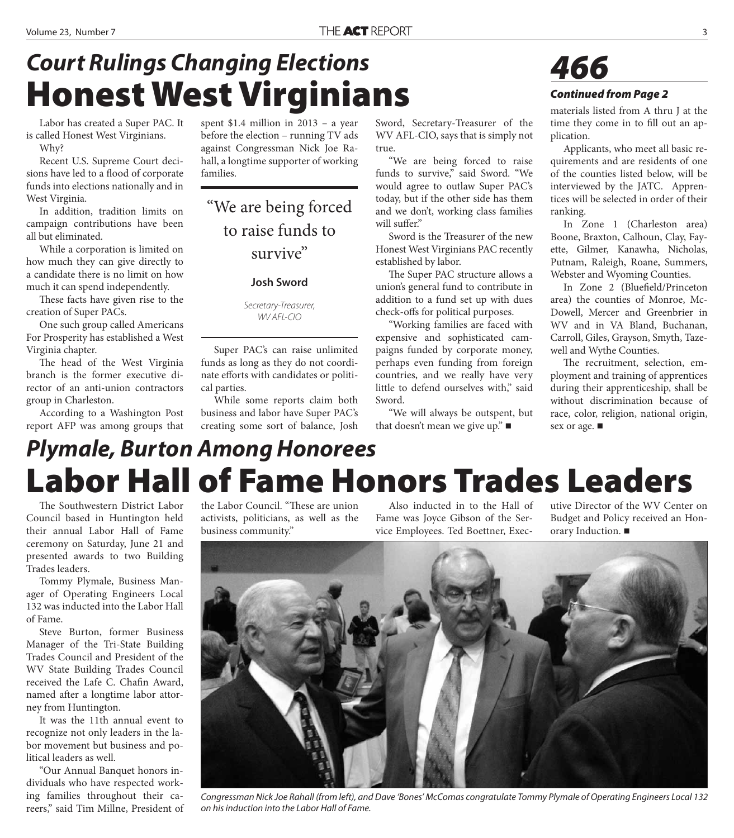### **Honest West Virginians** *Court Rulings Changing Elections*

Labor has created a Super PAC. It is called Honest West Virginians. Why?

Recent U.S. Supreme Court decisions have led to a flood of corporate funds into elections nationally and in West Virginia.

In addition, tradition limits on campaign contributions have been all but eliminated.

While a corporation is limited on how much they can give directly to a candidate there is no limit on how much it can spend independently.

These facts have given rise to the creation of Super PACs.

One such group called Americans For Prosperity has established a West Virginia chapter.

The head of the West Virginia branch is the former executive director of an anti-union contractors group in Charleston.

According to a Washington Post report AFP was among groups that

spent \$1.4 million in 2013 – a year before the election – running TV ads against Congressman Nick Joe Rahall, a longtime supporter of working families.

"We are being forced to raise funds to survive"

#### **Josh Sword**

Secretary-Treasurer, WV AFL-CIO

Super PAC's can raise unlimited funds as long as they do not coordinate efforts with candidates or political parties.

While some reports claim both business and labor have Super PAC's creating some sort of balance, Josh

Sword, Secretary-Treasurer of the WV AFL-CIO, says that is simply not true.

"We are being forced to raise funds to survive," said Sword. "We would agree to outlaw Super PAC's today, but if the other side has them and we don't, working class families will suffer."

Sword is the Treasurer of the new Honest West Virginians PAC recently established by labor.

The Super PAC structure allows a union's general fund to contribute in addition to a fund set up with dues check-offs for political purposes.

"Working families are faced with expensive and sophisticated campaigns funded by corporate money, perhaps even funding from foreign countries, and we really have very little to defend ourselves with," said Sword.

"We will always be outspent, but that doesn't mean we give up." ■



#### *Continued from Page 2*

materials listed from A thru J at the time they come in to fill out an application.

Applicants, who meet all basic requirements and are residents of one of the counties listed below, will be interviewed by the JATC. Apprentices will be selected in order of their ranking.

In Zone 1 (Charleston area) Boone, Braxton, Calhoun, Clay, Fayette, Gilmer, Kanawha, Nicholas, Putnam, Raleigh, Roane, Summers, Webster and Wyoming Counties.

In Zone 2 (Bluefield/Princeton area) the counties of Monroe, Mc-Dowell, Mercer and Greenbrier in WV and in VA Bland, Buchanan, Carroll, Giles, Grayson, Smyth, Tazewell and Wythe Counties.

The recruitment, selection, employment and training of apprentices during their apprenticeship, shall be without discrimination because of race, color, religion, national origin, sex or age.

### **Labor Hall of Fame Honors Trades Leaders** *Plymale, Burton Among Honorees*

The Southwestern District Labor Council based in Huntington held their annual Labor Hall of Fame ceremony on Saturday, June 21 and presented awards to two Building Trades leaders.

Tommy Plymale, Business Manager of Operating Engineers Local 132 was inducted into the Labor Hall of Fame.

Steve Burton, former Business Manager of the Tri-State Building Trades Council and President of the WV State Building Trades Council received the Lafe C. Chafin Award, named after a longtime labor attorney from Huntington.

It was the 11th annual event to recognize not only leaders in the labor movement but business and political leaders as well.

"Our Annual Banquet honors individuals who have respected working families throughout their careers," said Tim Millne, President of

the Labor Council. "These are union activists, politicians, as well as the business community."

Also inducted in to the Hall of Fame was Joyce Gibson of the Service Employees. Ted Boettner, Executive Director of the WV Center on Budget and Policy received an Honorary Induction.



Congressman Nick Joe Rahall (from left), and Dave 'Bones' McComas congratulate Tommy Plymale of Operating Engineers Local 132 on his induction into the Labor Hall of Fame.